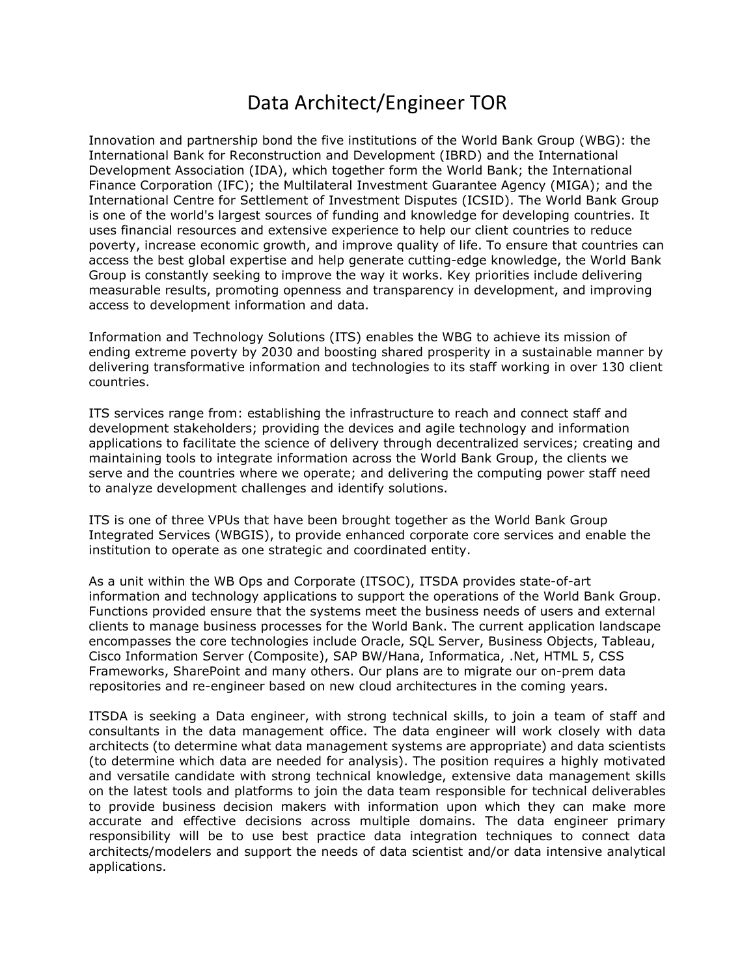## Data Architect/Engineer TOR

Innovation and partnership bond the five institutions of the World Bank Group (WBG): the International Bank for Reconstruction and Development (IBRD) and the International Development Association (IDA), which together form the World Bank; the International Finance Corporation (IFC); the Multilateral Investment Guarantee Agency (MIGA); and the International Centre for Settlement of Investment Disputes (ICSID). The World Bank Group is one of the world's largest sources of funding and knowledge for developing countries. It uses financial resources and extensive experience to help our client countries to reduce poverty, increase economic growth, and improve quality of life. To ensure that countries can access the best global expertise and help generate cutting-edge knowledge, the World Bank Group is constantly seeking to improve the way it works. Key priorities include delivering measurable results, promoting openness and transparency in development, and improving access to development information and data.

Information and Technology Solutions (ITS) enables the WBG to achieve its mission of ending extreme poverty by 2030 and boosting shared prosperity in a sustainable manner by delivering transformative information and technologies to its staff working in over 130 client countries.

ITS services range from: establishing the infrastructure to reach and connect staff and development stakeholders; providing the devices and agile technology and information applications to facilitate the science of delivery through decentralized services; creating and maintaining tools to integrate information across the World Bank Group, the clients we serve and the countries where we operate; and delivering the computing power staff need to analyze development challenges and identify solutions.

ITS is one of three VPUs that have been brought together as the World Bank Group Integrated Services (WBGIS), to provide enhanced corporate core services and enable the institution to operate as one strategic and coordinated entity.

As a unit within the WB Ops and Corporate (ITSOC), ITSDA provides state-of-art information and technology applications to support the operations of the World Bank Group. Functions provided ensure that the systems meet the business needs of users and external clients to manage business processes for the World Bank. The current application landscape encompasses the core technologies include Oracle, SQL Server, Business Objects, Tableau, Cisco Information Server (Composite), SAP BW/Hana, Informatica, .Net, HTML 5, CSS Frameworks, SharePoint and many others. Our plans are to migrate our on-prem data repositories and re-engineer based on new cloud architectures in the coming years.

ITSDA is seeking a Data engineer, with strong technical skills, to join a team of staff and consultants in the data management office. The data engineer will work closely with data architects (to determine what data management systems are appropriate) and data scientists (to determine which data are needed for analysis). The position requires a highly motivated and versatile candidate with strong technical knowledge, extensive data management skills on the latest tools and platforms to join the data team responsible for technical deliverables to provide business decision makers with information upon which they can make more accurate and effective decisions across multiple domains. The data engineer primary responsibility will be to use best practice data integration techniques to connect data architects/modelers and support the needs of data scientist and/or data intensive analytical applications.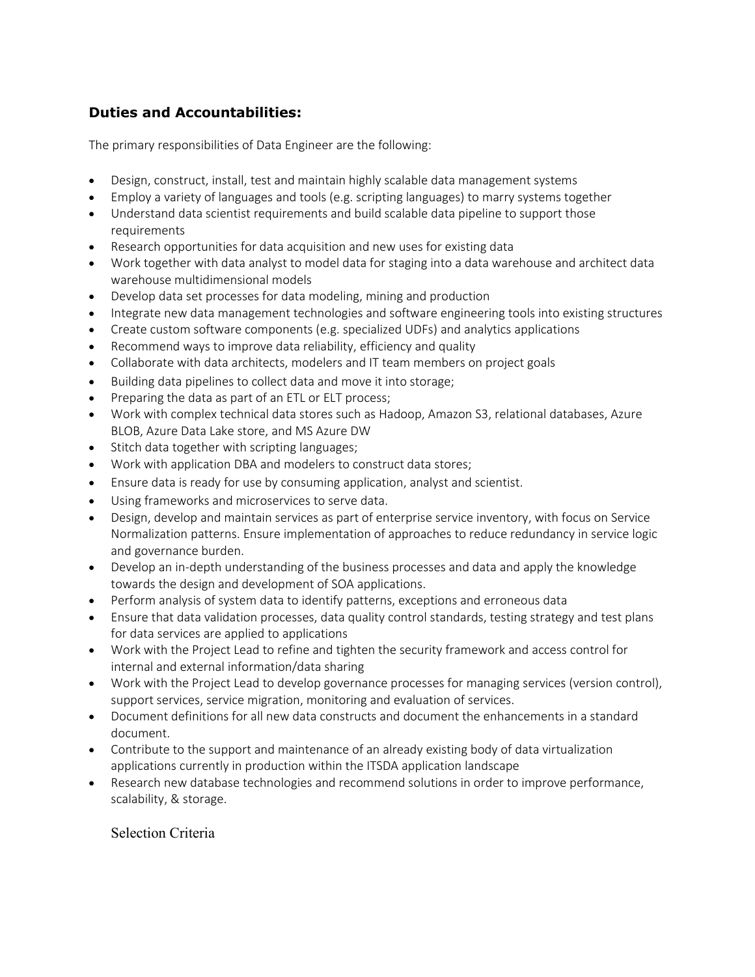## **Duties and Accountabilities:**

The primary responsibilities of Data Engineer are the following:

- Design, construct, install, test and maintain highly scalable data management systems
- Employ a variety of languages and tools (e.g. scripting languages) to marry systems together
- Understand data scientist requirements and build scalable data pipeline to support those requirements
- Research opportunities for data acquisition and new uses for existing data
- Work together with data analyst to model data for staging into a data warehouse and architect data warehouse multidimensional models
- Develop data set processes for data modeling, mining and production
- Integrate new data management technologies and software engineering tools into existing structures
- Create custom software components (e.g. specialized UDFs) and analytics applications
- Recommend ways to improve data reliability, efficiency and quality
- Collaborate with data architects, modelers and IT team members on project goals
- Building data pipelines to collect data and move it into storage;
- Preparing the data as part of an ETL or ELT process;
- Work with complex technical data stores such as Hadoop, Amazon S3, relational databases, Azure BLOB, Azure Data Lake store, and MS Azure DW
- Stitch data together with scripting languages;
- Work with application DBA and modelers to construct data stores;
- Ensure data is ready for use by consuming application, analyst and scientist.
- Using frameworks and microservices to serve data.
- Design, develop and maintain services as part of enterprise service inventory, with focus on Service Normalization patterns. Ensure implementation of approaches to reduce redundancy in service logic and governance burden.
- Develop an in-depth understanding of the business processes and data and apply the knowledge towards the design and development of SOA applications.
- Perform analysis of system data to identify patterns, exceptions and erroneous data
- Ensure that data validation processes, data quality control standards, testing strategy and test plans for data services are applied to applications
- Work with the Project Lead to refine and tighten the security framework and access control for internal and external information/data sharing
- Work with the Project Lead to develop governance processes for managing services (version control), support services, service migration, monitoring and evaluation of services.
- Document definitions for all new data constructs and document the enhancements in a standard document.
- Contribute to the support and maintenance of an already existing body of data virtualization applications currently in production within the ITSDA application landscape
- Research new database technologies and recommend solutions in order to improve performance, scalability, & storage.

## Selection Criteria